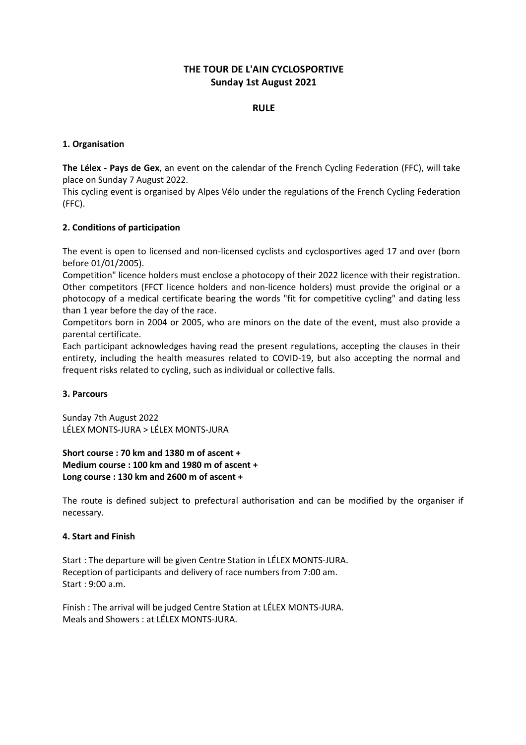# **THE TOUR DE L'AIN CYCLOSPORTIVE Sunday 1st August 2021**

# **RULE**

# **1. Organisation**

**The Lélex - Pays de Gex**, an event on the calendar of the French Cycling Federation (FFC), will take place on Sunday 7 August 2022.

This cycling event is organised by Alpes Vélo under the regulations of the French Cycling Federation (FFC).

# **2. Conditions of participation**

The event is open to licensed and non-licensed cyclists and cyclosportives aged 17 and over (born before 01/01/2005).

Competition" licence holders must enclose a photocopy of their 2022 licence with their registration. Other competitors (FFCT licence holders and non-licence holders) must provide the original or a photocopy of a medical certificate bearing the words "fit for competitive cycling" and dating less than 1 year before the day of the race.

Competitors born in 2004 or 2005, who are minors on the date of the event, must also provide a parental certificate.

Each participant acknowledges having read the present regulations, accepting the clauses in their entirety, including the health measures related to COVID-19, but also accepting the normal and frequent risks related to cycling, such as individual or collective falls.

#### **3. Parcours**

Sunday 7th August 2022 LÉLEX MONTS-JURA > LÉLEX MONTS-JURA

**Short course : 70 km and 1380 m of ascent + Medium course : 100 km and 1980 m of ascent + Long course : 130 km and 2600 m of ascent +**

The route is defined subject to prefectural authorisation and can be modified by the organiser if necessary.

#### **4. Start and Finish**

Start : The departure will be given Centre Station in LÉLEX MONTS-JURA. Reception of participants and delivery of race numbers from 7:00 am. Start : 9:00 a.m.

Finish : The arrival will be judged Centre Station at LÉLEX MONTS-JURA. Meals and Showers : at LÉLEX MONTS-JURA.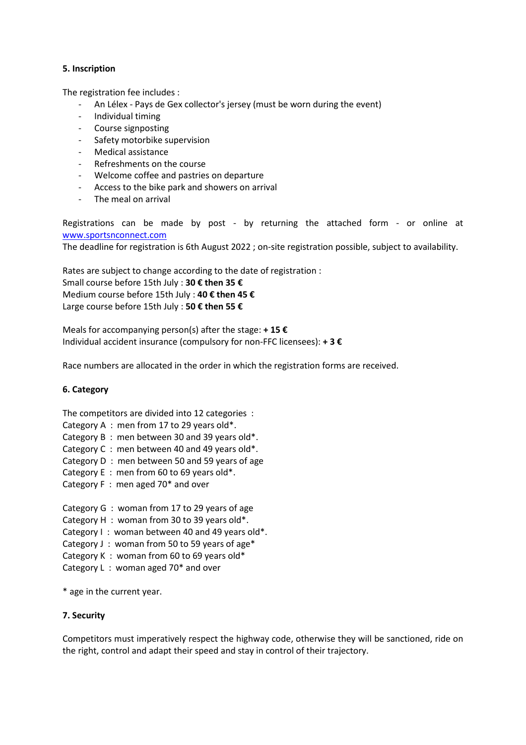# **5. Inscription**

The registration fee includes :

- An Lélex Pays de Gex collector's jersey (must be worn during the event)
- Individual timing
- Course signposting
- Safety motorbike supervision
- Medical assistance
- Refreshments on the course
- Welcome coffee and pastries on departure
- Access to the bike park and showers on arrival
- The meal on arrival

Registrations can be made by post - by returning the attached form - or online at [www.sportsnconnect.com](http://www.sportsnconnect.com/)

The deadline for registration is 6th August 2022 ; on-site registration possible, subject to availability.

Rates are subject to change according to the date of registration : Small course before 15th July : **30 € then 35 €**  Medium course before 15th July : **40 € then 45 €** Large course before 15th July : **50 € then 55 €**

Meals for accompanying person(s) after the stage: **+ 15 €** Individual accident insurance (compulsory for non-FFC licensees): **+ 3 €**

Race numbers are allocated in the order in which the registration forms are received.

#### **6. Category**

The competitors are divided into 12 categories : Category A : men from 17 to 29 years old\*. Category B : men between 30 and 39 years old\*. Category C : men between 40 and 49 years old\*. Category D : men between 50 and 59 years of age Category E : men from 60 to 69 years old\*. Category F : men aged 70\* and over

Category G : woman from 17 to 29 years of age Category H : woman from 30 to 39 years old\*. Category I: woman between 40 and 49 years old\*. Category J : woman from 50 to 59 years of age\* Category K : woman from 60 to 69 years old\* Category L : woman aged 70\* and over

\* age in the current year.

#### **7. Security**

Competitors must imperatively respect the highway code, otherwise they will be sanctioned, ride on the right, control and adapt their speed and stay in control of their trajectory.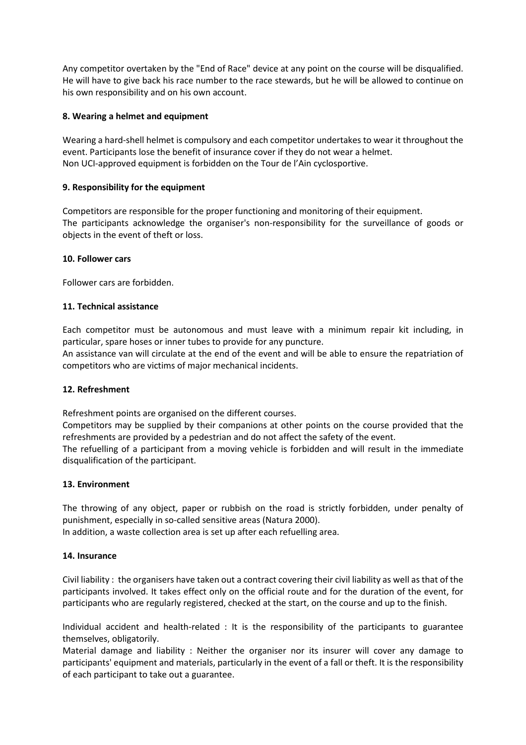Any competitor overtaken by the "End of Race" device at any point on the course will be disqualified. He will have to give back his race number to the race stewards, but he will be allowed to continue on his own responsibility and on his own account.

# **8. Wearing a helmet and equipment**

Wearing a hard-shell helmet is compulsory and each competitor undertakes to wear it throughout the event. Participants lose the benefit of insurance cover if they do not wear a helmet. Non UCI-approved equipment is forbidden on the Tour de l'Ain cyclosportive.

#### **9. Responsibility for the equipment**

Competitors are responsible for the proper functioning and monitoring of their equipment. The participants acknowledge the organiser's non-responsibility for the surveillance of goods or objects in the event of theft or loss.

# **10. Follower cars**

Follower cars are forbidden.

# **11. Technical assistance**

Each competitor must be autonomous and must leave with a minimum repair kit including, in particular, spare hoses or inner tubes to provide for any puncture.

An assistance van will circulate at the end of the event and will be able to ensure the repatriation of competitors who are victims of major mechanical incidents.

#### **12. Refreshment**

Refreshment points are organised on the different courses.

Competitors may be supplied by their companions at other points on the course provided that the refreshments are provided by a pedestrian and do not affect the safety of the event.

The refuelling of a participant from a moving vehicle is forbidden and will result in the immediate disqualification of the participant.

#### **13. Environment**

The throwing of any object, paper or rubbish on the road is strictly forbidden, under penalty of punishment, especially in so-called sensitive areas (Natura 2000). In addition, a waste collection area is set up after each refuelling area.

**14. Insurance** 

Civil liability : the organisers have taken out a contract covering their civil liability as well as that of the participants involved. It takes effect only on the official route and for the duration of the event, for participants who are regularly registered, checked at the start, on the course and up to the finish.

Individual accident and health-related : It is the responsibility of the participants to guarantee themselves, obligatorily.

Material damage and liability : Neither the organiser nor its insurer will cover any damage to participants' equipment and materials, particularly in the event of a fall or theft. It is the responsibility of each participant to take out a guarantee.